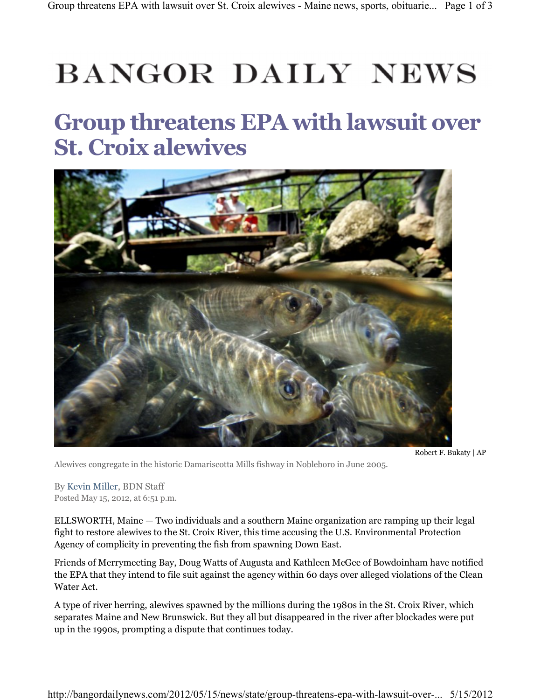## **BANGOR DAILY NEWS**

## Group threatens EPA with lawsuit over St. Croix alewives



Alewives congregate in the historic Damariscotta Mills fishway in Nobleboro in June 2005.

Robert F. Bukaty | AP

By Kevin Miller, BDN Staff Posted May 15, 2012, at 6:51 p.m.

ELLSWORTH, Maine — Two individuals and a southern Maine organization are ramping up their legal fight to restore alewives to the St. Croix River, this time accusing the U.S. Environmental Protection Agency of complicity in preventing the fish from spawning Down East.

Friends of Merrymeeting Bay, Doug Watts of Augusta and Kathleen McGee of Bowdoinham have notified the EPA that they intend to file suit against the agency within 60 days over alleged violations of the Clean Water Act.

A type of river herring, alewives spawned by the millions during the 1980s in the St. Croix River, which separates Maine and New Brunswick. But they all but disappeared in the river after blockades were put up in the 1990s, prompting a dispute that continues today.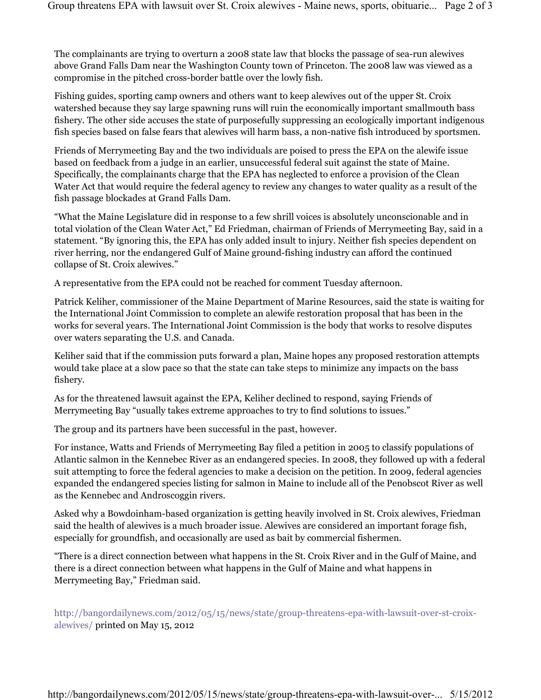The complainants are trying to overturn a 2008 state law that blocks the passage of sea-run alewives above Grand Falls Dam near the Washington County town of Princeton. The 2008 law was viewed as a compromise in the pitched cross-border battle over the lowly fish.

Fishing guides, sporting camp owners and others want to keep alewives out of the upper St. Croix watershed because they say large spawning runs will ruin the economically important smallmouth bass fishery. The other side accuses the state of purposefully suppressing an ecologically important indigenous fish species based on false fears that alewives will harm bass, a non-native fish introduced by sportsmen.

Friends of Merrymeeting Bay and the two individuals are poised to press the EPA on the alewife issue based on feedback from a judge in an earlier, unsuccessful federal suit against the state of Maine. Specifically, the complainants charge that the EPA has neglected to enforce a provision of the Clean Water Act that would require the federal agency to review any changes to water quality as a result of the fish passage blockades at Grand Falls Dam.

"What the Maine Legislature did in response to a few shrill voices is absolutely unconscionable and in total violation of the Clean Water Act," Ed Friedman, chairman of Friends of Merrymeeting Bay, said in a statement. "By ignoring this, the EPA has only added insult to injury. Neither fish species dependent on river herring, nor the endangered Gulf of Maine ground-fishing industry can afford the continued collapse of St. Croix alewives."

A representative from the EPA could not be reached for comment Tuesday afternoon.

Patrick Keliher, commissioner of the Maine Department of Marine Resources, said the state is waiting for the International Joint Commission to complete an alewife restoration proposal that has been in the works for several years. The International Joint Commission is the body that works to resolve disputes over waters separating the U.S. and Canada.

Keliher said that if the commission puts forward a plan, Maine hopes any proposed restoration attempts would take place at a slow pace so that the state can take steps to minimize any impacts on the bass fishery.

As for the threatened lawsuit against the EPA, Keliher declined to respond, saying Friends of Merrymeeting Bay "usually takes extreme approaches to try to find solutions to issues."

The group and its partners have been successful in the past, however.

For instance, Watts and Friends of Merrymeeting Bay filed a petition in 2005 to classify populations of Atlantic salmon in the Kennebec River as an endangered species. In 2008, they followed up with a federal suit attempting to force the federal agencies to make a decision on the petition. In 2009, federal agencies expanded the endangered species listing for salmon in Maine to include all of the Penobscot River as well as the Kennebec and Androscoggin rivers.

Asked why a Bowdoinham-based organization is getting heavily involved in St. Croix alewives, Friedman said the health of alewives is a much broader issue. Alewives are considered an important forage fish, especially for groundfish, and occasionally are used as bait by commercial fishermen.

"There is a direct connection between what happens in the St. Croix River and in the Gulf of Maine, and there is a direct connection between what happens in the Gulf of Maine and what happens in Merrymeeting Bay," Friedman said.

http://bangordailynews.com/2012/05/15/news/state/group-threatens-epa-with-lawsuit-over-st-croixalewives/ printed on May 15, 2012